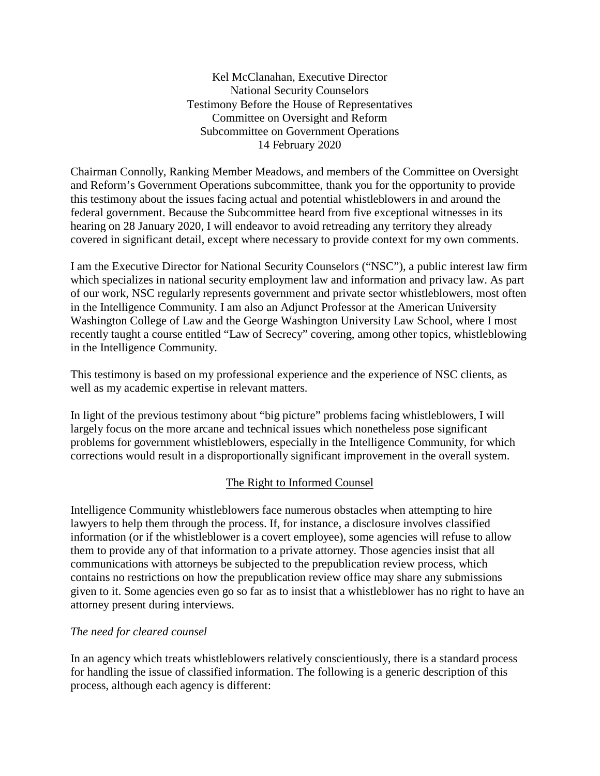Kel McClanahan, Executive Director National Security Counselors Testimony Before the House of Representatives Committee on Oversight and Reform Subcommittee on Government Operations 14 February 2020

Chairman Connolly, Ranking Member Meadows, and members of the Committee on Oversight and Reform's Government Operations subcommittee, thank you for the opportunity to provide this testimony about the issues facing actual and potential whistleblowers in and around the federal government. Because the Subcommittee heard from five exceptional witnesses in its hearing on 28 January 2020, I will endeavor to avoid retreading any territory they already covered in significant detail, except where necessary to provide context for my own comments.

I am the Executive Director for National Security Counselors ("NSC"), a public interest law firm which specializes in national security employment law and information and privacy law. As part of our work, NSC regularly represents government and private sector whistleblowers, most often in the Intelligence Community. I am also an Adjunct Professor at the American University Washington College of Law and the George Washington University Law School, where I most recently taught a course entitled "Law of Secrecy" covering, among other topics, whistleblowing in the Intelligence Community.

This testimony is based on my professional experience and the experience of NSC clients, as well as my academic expertise in relevant matters.

In light of the previous testimony about "big picture" problems facing whistleblowers, I will largely focus on the more arcane and technical issues which nonetheless pose significant problems for government whistleblowers, especially in the Intelligence Community, for which corrections would result in a disproportionally significant improvement in the overall system.

# The Right to Informed Counsel

Intelligence Community whistleblowers face numerous obstacles when attempting to hire lawyers to help them through the process. If, for instance, a disclosure involves classified information (or if the whistleblower is a covert employee), some agencies will refuse to allow them to provide any of that information to a private attorney. Those agencies insist that all communications with attorneys be subjected to the prepublication review process, which contains no restrictions on how the prepublication review office may share any submissions given to it. Some agencies even go so far as to insist that a whistleblower has no right to have an attorney present during interviews.

# *The need for cleared counsel*

In an agency which treats whistleblowers relatively conscientiously, there is a standard process for handling the issue of classified information. The following is a generic description of this process, although each agency is different: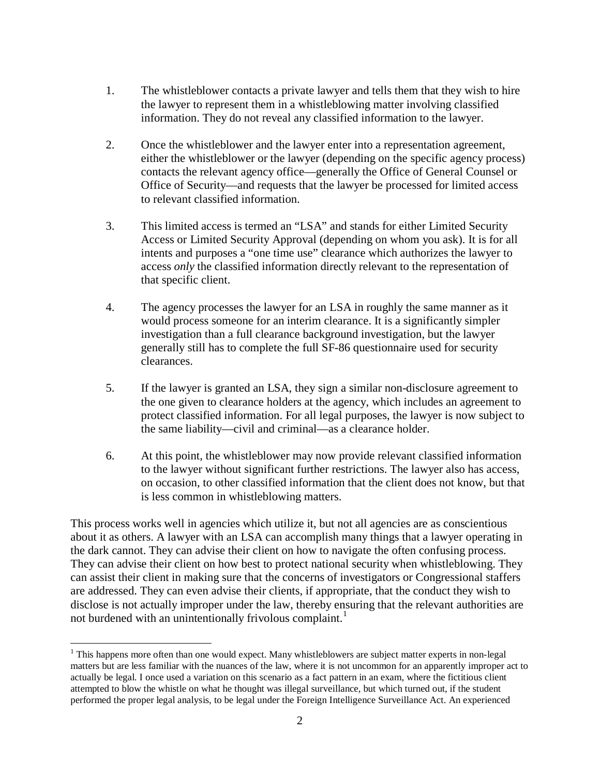- 1. The whistleblower contacts a private lawyer and tells them that they wish to hire the lawyer to represent them in a whistleblowing matter involving classified information. They do not reveal any classified information to the lawyer.
- 2. Once the whistleblower and the lawyer enter into a representation agreement, either the whistleblower or the lawyer (depending on the specific agency process) contacts the relevant agency office—generally the Office of General Counsel or Office of Security—and requests that the lawyer be processed for limited access to relevant classified information.
- 3. This limited access is termed an "LSA" and stands for either Limited Security Access or Limited Security Approval (depending on whom you ask). It is for all intents and purposes a "one time use" clearance which authorizes the lawyer to access *only* the classified information directly relevant to the representation of that specific client.
- 4. The agency processes the lawyer for an LSA in roughly the same manner as it would process someone for an interim clearance. It is a significantly simpler investigation than a full clearance background investigation, but the lawyer generally still has to complete the full SF-86 questionnaire used for security clearances.
- 5. If the lawyer is granted an LSA, they sign a similar non-disclosure agreement to the one given to clearance holders at the agency, which includes an agreement to protect classified information. For all legal purposes, the lawyer is now subject to the same liability—civil and criminal—as a clearance holder.
- 6. At this point, the whistleblower may now provide relevant classified information to the lawyer without significant further restrictions. The lawyer also has access, on occasion, to other classified information that the client does not know, but that is less common in whistleblowing matters.

This process works well in agencies which utilize it, but not all agencies are as conscientious about it as others. A lawyer with an LSA can accomplish many things that a lawyer operating in the dark cannot. They can advise their client on how to navigate the often confusing process. They can advise their client on how best to protect national security when whistleblowing. They can assist their client in making sure that the concerns of investigators or Congressional staffers are addressed. They can even advise their clients, if appropriate, that the conduct they wish to disclose is not actually improper under the law, thereby ensuring that the relevant authorities are not burdened with an unintentionally frivolous complaint.<sup>[1](#page-1-0)</sup>

<span id="page-1-0"></span><sup>&</sup>lt;sup>1</sup> This happens more often than one would expect. Many whistleblowers are subject matter experts in non-legal matters but are less familiar with the nuances of the law, where it is not uncommon for an apparently improper act to actually be legal. I once used a variation on this scenario as a fact pattern in an exam, where the fictitious client attempted to blow the whistle on what he thought was illegal surveillance, but which turned out, if the student performed the proper legal analysis, to be legal under the Foreign Intelligence Surveillance Act. An experienced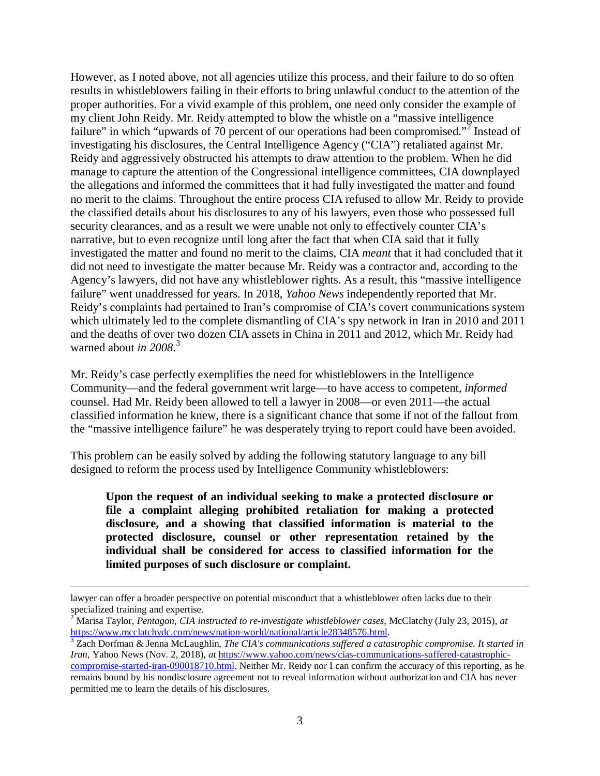However, as I noted above, not all agencies utilize this process, and their failure to do so often results in whistleblowers failing in their efforts to bring unlawful conduct to the attention of the proper authorities. For a vivid example of this problem, one need only consider the example of my client John Reidy. Mr. Reidy attempted to blow the whistle on a "massive intelligence failure" in which "upwards of 70 percent of our operations had been compromised."<sup>[2](#page-2-0)</sup> Instead of investigating his disclosures, the Central Intelligence Agency ("CIA") retaliated against Mr. Reidy and aggressively obstructed his attempts to draw attention to the problem. When he did manage to capture the attention of the Congressional intelligence committees, CIA downplayed the allegations and informed the committees that it had fully investigated the matter and found no merit to the claims. Throughout the entire process CIA refused to allow Mr. Reidy to provide the classified details about his disclosures to any of his lawyers, even those who possessed full security clearances, and as a result we were unable not only to effectively counter CIA's narrative, but to even recognize until long after the fact that when CIA said that it fully investigated the matter and found no merit to the claims, CIA *meant* that it had concluded that it did not need to investigate the matter because Mr. Reidy was a contractor and, according to the Agency's lawyers, did not have any whistleblower rights. As a result, this "massive intelligence failure" went unaddressed for years. In 2018, *Yahoo News* independently reported that Mr. Reidy's complaints had pertained to Iran's compromise of CIA's covert communications system which ultimately led to the complete dismantling of CIA's spy network in Iran in 2010 and 2011 and the deaths of over two dozen CIA assets in China in 2011 and 2012, which Mr. Reidy had warned about *in 2008*. [3](#page-2-1)

Mr. Reidy's case perfectly exemplifies the need for whistleblowers in the Intelligence Community—and the federal government writ large—to have access to competent, *informed* counsel. Had Mr. Reidy been allowed to tell a lawyer in 2008—or even 2011—the actual classified information he knew, there is a significant chance that some if not of the fallout from the "massive intelligence failure" he was desperately trying to report could have been avoided.

This problem can be easily solved by adding the following statutory language to any bill designed to reform the process used by Intelligence Community whistleblowers:

**Upon the request of an individual seeking to make a protected disclosure or file a complaint alleging prohibited retaliation for making a protected disclosure, and a showing that classified information is material to the protected disclosure, counsel or other representation retained by the individual shall be considered for access to classified information for the limited purposes of such disclosure or complaint.**

permitted me to learn the details of his disclosures.

lawyer can offer a broader perspective on potential misconduct that a whistleblower often lacks due to their specialized training and expertise.

<span id="page-2-0"></span><sup>2</sup> Marisa Taylor, *Pentagon, CIA instructed to re-investigate whistleblower cases*, McClatchy (July 23, 2015), *at* [https://www.mcclatchydc.com/news/nation-world/national/article28348576.html.](https://www.mcclatchydc.com/news/nation-world/national/article28348576.html) <sup>3</sup> Zach Dorfman & Jenna McLaughlin, *The CIA's communications suffered a catastrophic compromise. It started in* 

<span id="page-2-1"></span>*Iran*, Yahoo News (Nov. 2, 2018), *at* [https://www.yahoo.com/news/cias-communications-suffered-catastrophic](https://www.yahoo.com/news/cias-communications-suffered-catastrophic-compromise-started-iran-090018710.html)[compromise-started-iran-090018710.html.](https://www.yahoo.com/news/cias-communications-suffered-catastrophic-compromise-started-iran-090018710.html) Neither Mr. Reidy nor I can confirm the accuracy of this reporting, as he remains bound by his nondisclosure agreement not to reveal information without authorization and CIA has never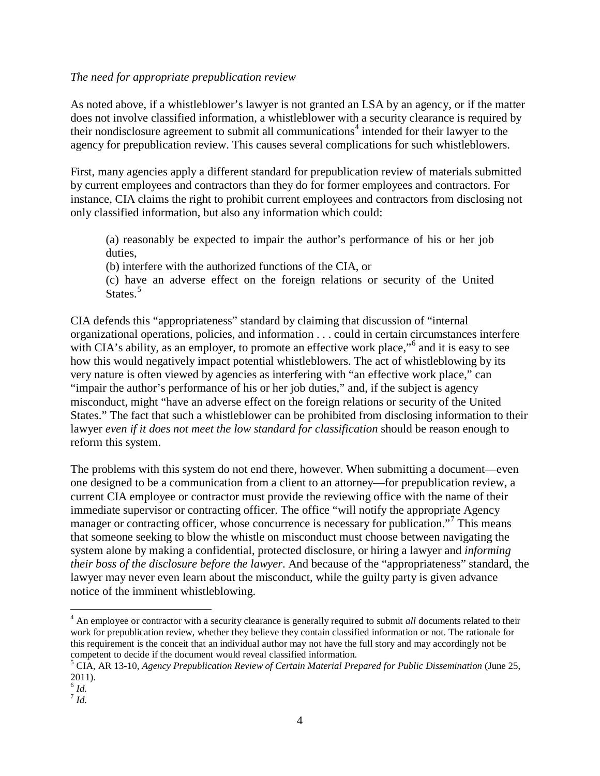#### *The need for appropriate prepublication review*

As noted above, if a whistleblower's lawyer is not granted an LSA by an agency, or if the matter does not involve classified information, a whistleblower with a security clearance is required by their nondisclosure agreement to submit all communications<sup>[4](#page-3-0)</sup> intended for their lawyer to the agency for prepublication review. This causes several complications for such whistleblowers.

First, many agencies apply a different standard for prepublication review of materials submitted by current employees and contractors than they do for former employees and contractors. For instance, CIA claims the right to prohibit current employees and contractors from disclosing not only classified information, but also any information which could:

(a) reasonably be expected to impair the author's performance of his or her job duties,

(b) interfere with the authorized functions of the CIA, or

(c) have an adverse effect on the foreign relations or security of the United States.<sup>[5](#page-3-1)</sup>

CIA defends this "appropriateness" standard by claiming that discussion of "internal organizational operations, policies, and information . . . could in certain circumstances interfere with CIA's ability, as an employer, to promote an effective work place,"<sup>[6](#page-3-2)</sup> and it is easy to see how this would negatively impact potential whistleblowers. The act of whistleblowing by its very nature is often viewed by agencies as interfering with "an effective work place," can "impair the author's performance of his or her job duties," and, if the subject is agency misconduct, might "have an adverse effect on the foreign relations or security of the United States." The fact that such a whistleblower can be prohibited from disclosing information to their lawyer *even if it does not meet the low standard for classification* should be reason enough to reform this system.

The problems with this system do not end there, however. When submitting a document—even one designed to be a communication from a client to an attorney—for prepublication review, a current CIA employee or contractor must provide the reviewing office with the name of their immediate supervisor or contracting officer. The office "will notify the appropriate Agency manager or contracting officer, whose concurrence is necessary for publication."<sup>[7](#page-3-3)</sup> This means that someone seeking to blow the whistle on misconduct must choose between navigating the system alone by making a confidential, protected disclosure, or hiring a lawyer and *informing their boss of the disclosure before the lawyer*. And because of the "appropriateness" standard, the lawyer may never even learn about the misconduct, while the guilty party is given advance notice of the imminent whistleblowing.

<span id="page-3-0"></span><sup>&</sup>lt;sup>4</sup> An employee or contractor with a security clearance is generally required to submit *all* documents related to their work for prepublication review, whether they believe they contain classified information or not. The rationale for this requirement is the conceit that an individual author may not have the full story and may accordingly not be competent to decide if the document would reveal classified information.

<span id="page-3-1"></span><sup>5</sup> CIA, AR 13-10, *Agency Prepublication Review of Certain Material Prepared for Public Dissemination* (June 25, 2011).

<span id="page-3-2"></span> $\overline{6}$  *Id.* 

<span id="page-3-3"></span><sup>7</sup> *Id.*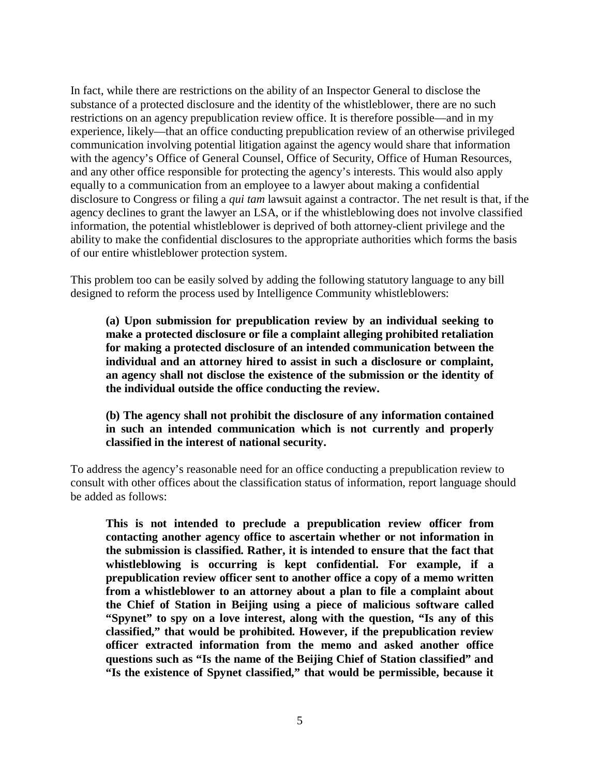In fact, while there are restrictions on the ability of an Inspector General to disclose the substance of a protected disclosure and the identity of the whistleblower, there are no such restrictions on an agency prepublication review office. It is therefore possible—and in my experience, likely—that an office conducting prepublication review of an otherwise privileged communication involving potential litigation against the agency would share that information with the agency's Office of General Counsel, Office of Security, Office of Human Resources, and any other office responsible for protecting the agency's interests. This would also apply equally to a communication from an employee to a lawyer about making a confidential disclosure to Congress or filing a *qui tam* lawsuit against a contractor. The net result is that, if the agency declines to grant the lawyer an LSA, or if the whistleblowing does not involve classified information, the potential whistleblower is deprived of both attorney-client privilege and the ability to make the confidential disclosures to the appropriate authorities which forms the basis of our entire whistleblower protection system.

This problem too can be easily solved by adding the following statutory language to any bill designed to reform the process used by Intelligence Community whistleblowers:

**(a) Upon submission for prepublication review by an individual seeking to make a protected disclosure or file a complaint alleging prohibited retaliation for making a protected disclosure of an intended communication between the individual and an attorney hired to assist in such a disclosure or complaint, an agency shall not disclose the existence of the submission or the identity of the individual outside the office conducting the review.**

### **(b) The agency shall not prohibit the disclosure of any information contained in such an intended communication which is not currently and properly classified in the interest of national security.**

To address the agency's reasonable need for an office conducting a prepublication review to consult with other offices about the classification status of information, report language should be added as follows:

**This is not intended to preclude a prepublication review officer from contacting another agency office to ascertain whether or not information in the submission is classified. Rather, it is intended to ensure that the fact that whistleblowing is occurring is kept confidential. For example, if a prepublication review officer sent to another office a copy of a memo written from a whistleblower to an attorney about a plan to file a complaint about the Chief of Station in Beijing using a piece of malicious software called "Spynet" to spy on a love interest, along with the question, "Is any of this classified," that would be prohibited. However, if the prepublication review officer extracted information from the memo and asked another office questions such as "Is the name of the Beijing Chief of Station classified" and "Is the existence of Spynet classified," that would be permissible, because it**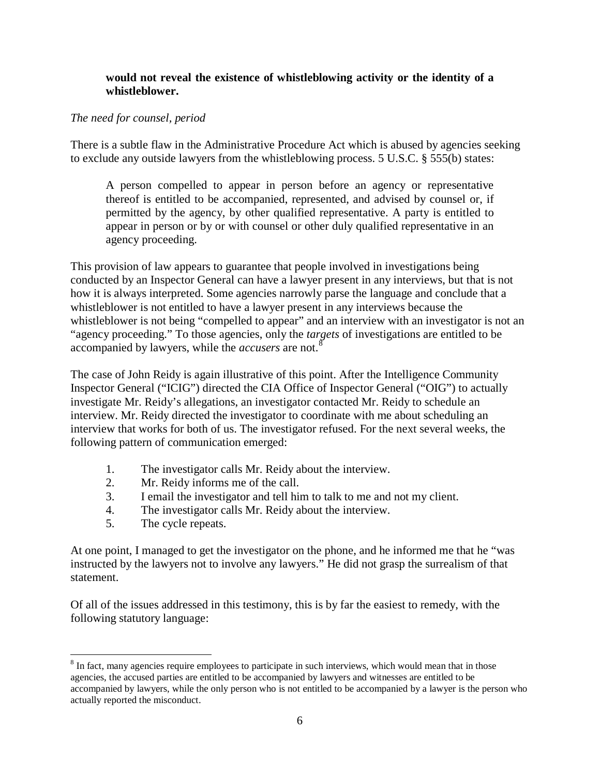#### **would not reveal the existence of whistleblowing activity or the identity of a whistleblower.**

#### *The need for counsel, period*

There is a subtle flaw in the Administrative Procedure Act which is abused by agencies seeking to exclude any outside lawyers from the whistleblowing process. 5 U.S.C. § 555(b) states:

A person compelled to appear in person before an agency or representative thereof is entitled to be accompanied, represented, and advised by counsel or, if permitted by the agency, by other qualified representative. A party is entitled to appear in person or by or with counsel or other duly qualified representative in an agency proceeding.

This provision of law appears to guarantee that people involved in investigations being conducted by an Inspector General can have a lawyer present in any interviews, but that is not how it is always interpreted. Some agencies narrowly parse the language and conclude that a whistleblower is not entitled to have a lawyer present in any interviews because the whistleblower is not being "compelled to appear" and an interview with an investigator is not an "agency proceeding." To those agencies, only the *targets* of investigations are entitled to be accompanied by lawyers, while the *accusers* are not.[8](#page-5-0)

The case of John Reidy is again illustrative of this point. After the Intelligence Community Inspector General ("ICIG") directed the CIA Office of Inspector General ("OIG") to actually investigate Mr. Reidy's allegations, an investigator contacted Mr. Reidy to schedule an interview. Mr. Reidy directed the investigator to coordinate with me about scheduling an interview that works for both of us. The investigator refused. For the next several weeks, the following pattern of communication emerged:

- 1. The investigator calls Mr. Reidy about the interview.
- 2. Mr. Reidy informs me of the call.
- 3. I email the investigator and tell him to talk to me and not my client.
- 4. The investigator calls Mr. Reidy about the interview.
- 5. The cycle repeats.

At one point, I managed to get the investigator on the phone, and he informed me that he "was instructed by the lawyers not to involve any lawyers." He did not grasp the surrealism of that statement.

Of all of the issues addressed in this testimony, this is by far the easiest to remedy, with the following statutory language:

<span id="page-5-0"></span><sup>&</sup>lt;sup>8</sup> In fact, many agencies require employees to participate in such interviews, which would mean that in those agencies, the accused parties are entitled to be accompanied by lawyers and witnesses are entitled to be accompanied by lawyers, while the only person who is not entitled to be accompanied by a lawyer is the person who actually reported the misconduct.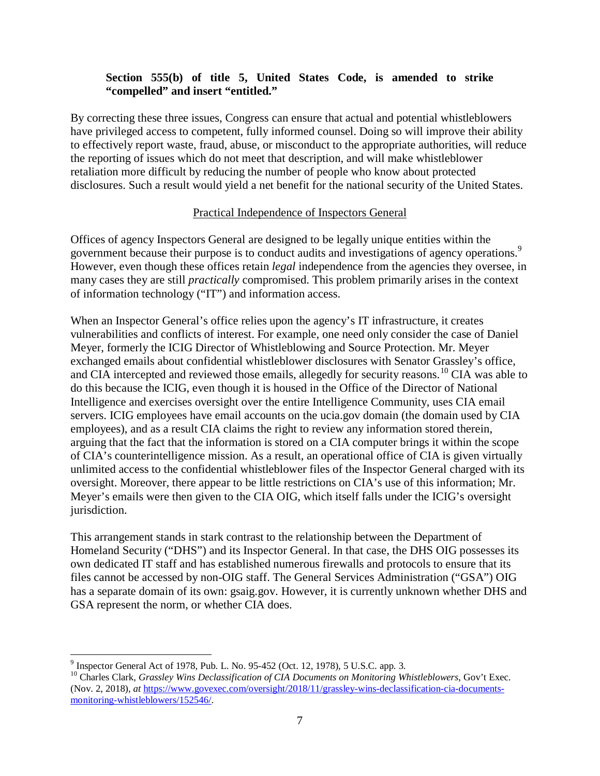### **Section 555(b) of title 5, United States Code, is amended to strike "compelled" and insert "entitled."**

By correcting these three issues, Congress can ensure that actual and potential whistleblowers have privileged access to competent, fully informed counsel. Doing so will improve their ability to effectively report waste, fraud, abuse, or misconduct to the appropriate authorities, will reduce the reporting of issues which do not meet that description, and will make whistleblower retaliation more difficult by reducing the number of people who know about protected disclosures. Such a result would yield a net benefit for the national security of the United States.

### Practical Independence of Inspectors General

Offices of agency Inspectors General are designed to be legally unique entities within the government because their purpose is to conduct audits and investigations of agency operations.<sup>[9](#page-6-0)</sup> However, even though these offices retain *legal* independence from the agencies they oversee, in many cases they are still *practically* compromised. This problem primarily arises in the context of information technology ("IT") and information access.

When an Inspector General's office relies upon the agency's IT infrastructure, it creates vulnerabilities and conflicts of interest. For example, one need only consider the case of Daniel Meyer, formerly the ICIG Director of Whistleblowing and Source Protection. Mr. Meyer exchanged emails about confidential whistleblower disclosures with Senator Grassley's office, and CIA intercepted and reviewed those emails, allegedly for security reasons.<sup>[10](#page-6-1)</sup> CIA was able to do this because the ICIG, even though it is housed in the Office of the Director of National Intelligence and exercises oversight over the entire Intelligence Community, uses CIA email servers. ICIG employees have email accounts on the ucia.gov domain (the domain used by CIA employees), and as a result CIA claims the right to review any information stored therein, arguing that the fact that the information is stored on a CIA computer brings it within the scope of CIA's counterintelligence mission. As a result, an operational office of CIA is given virtually unlimited access to the confidential whistleblower files of the Inspector General charged with its oversight. Moreover, there appear to be little restrictions on CIA's use of this information; Mr. Meyer's emails were then given to the CIA OIG, which itself falls under the ICIG's oversight jurisdiction.

This arrangement stands in stark contrast to the relationship between the Department of Homeland Security ("DHS") and its Inspector General. In that case, the DHS OIG possesses its own dedicated IT staff and has established numerous firewalls and protocols to ensure that its files cannot be accessed by non-OIG staff. The General Services Administration ("GSA") OIG has a separate domain of its own: gsaig.gov. However, it is currently unknown whether DHS and GSA represent the norm, or whether CIA does.

 $9 \text{ Inspector General Act of 1978, Pub. L. No. 95-452 (Oct. 12, 1978), 5 U.S.C. app. 3.}$ 

<span id="page-6-1"></span><span id="page-6-0"></span><sup>10</sup> Charles Clark, *Grassley Wins Declassification of CIA Documents on Monitoring Whistleblowers*, Gov't Exec. (Nov. 2, 2018), *at* [https://www.govexec.com/oversight/2018/11/grassley-wins-declassification-cia-documents](https://www.govexec.com/oversight/2018/11/grassley-wins-declassification-cia-documents-monitoring-whistleblowers/152546/)[monitoring-whistleblowers/152546/.](https://www.govexec.com/oversight/2018/11/grassley-wins-declassification-cia-documents-monitoring-whistleblowers/152546/)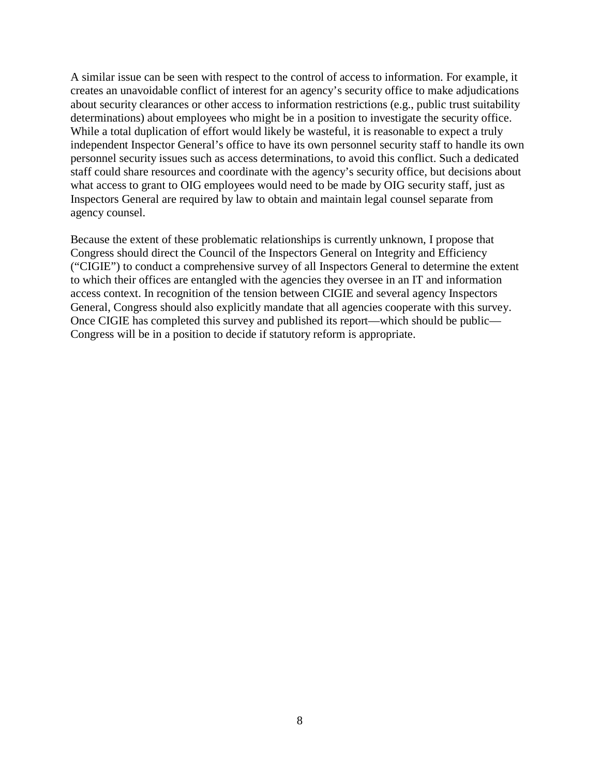A similar issue can be seen with respect to the control of access to information. For example, it creates an unavoidable conflict of interest for an agency's security office to make adjudications about security clearances or other access to information restrictions (e.g., public trust suitability determinations) about employees who might be in a position to investigate the security office. While a total duplication of effort would likely be wasteful, it is reasonable to expect a truly independent Inspector General's office to have its own personnel security staff to handle its own personnel security issues such as access determinations, to avoid this conflict. Such a dedicated staff could share resources and coordinate with the agency's security office, but decisions about what access to grant to OIG employees would need to be made by OIG security staff, just as Inspectors General are required by law to obtain and maintain legal counsel separate from agency counsel.

Because the extent of these problematic relationships is currently unknown, I propose that Congress should direct the Council of the Inspectors General on Integrity and Efficiency ("CIGIE") to conduct a comprehensive survey of all Inspectors General to determine the extent to which their offices are entangled with the agencies they oversee in an IT and information access context. In recognition of the tension between CIGIE and several agency Inspectors General, Congress should also explicitly mandate that all agencies cooperate with this survey. Once CIGIE has completed this survey and published its report—which should be public— Congress will be in a position to decide if statutory reform is appropriate.